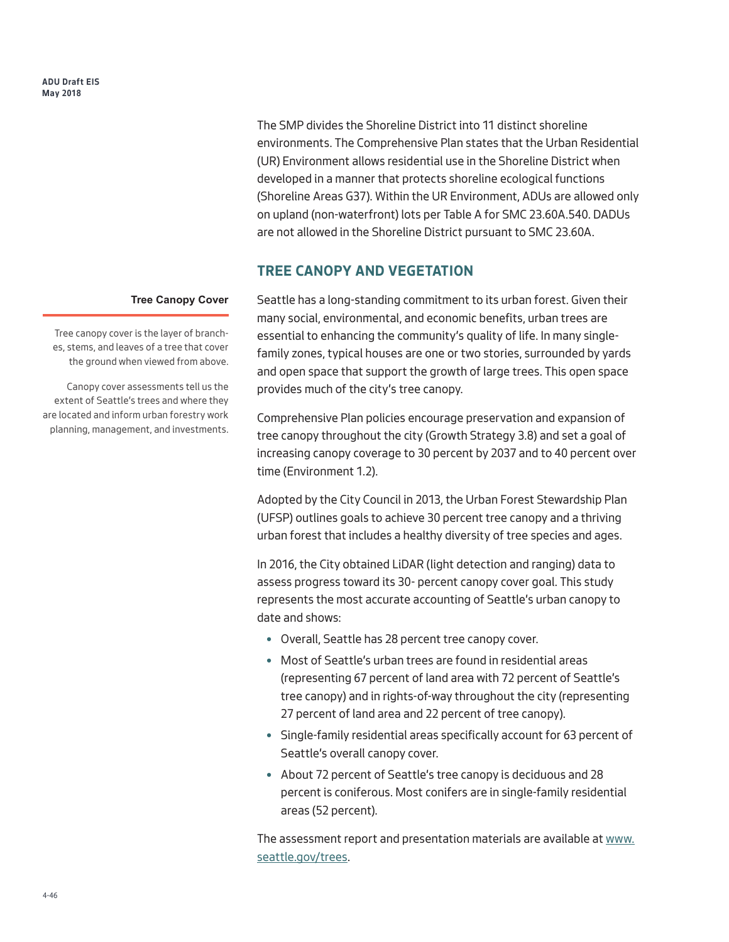The SMP divides the Shoreline District into 11 distinct shoreline environments. The Comprehensive Plan states that the Urban Residential (UR) Environment allows residential use in the Shoreline District when developed in a manner that protects shoreline ecological functions (Shoreline Areas G37). Within the UR Environment, ADUs are allowed only on upland (non-waterfront) lots per Table A for SMC 23.60A.540. DADUs are not allowed in the Shoreline District pursuant to SMC 23.60A.

#### **TREE CANOPY AND VEGETATION**

#### **Tree Canopy Cover**

Tree canopy cover is the layer of branches, stems, and leaves of a tree that cover the ground when viewed from above.

Canopy cover assessments tell us the extent of Seattle's trees and where they are located and inform urban forestry work planning, management, and investments.

Seattle has a long-standing commitment to its urban forest. Given their many social, environmental, and economic benefits, urban trees are essential to enhancing the community's quality of life. In many singlefamily zones, typical houses are one or two stories, surrounded by yards and open space that support the growth of large trees. This open space provides much of the city's tree canopy.

Comprehensive Plan policies encourage preservation and expansion of tree canopy throughout the city (Growth Strategy 3.8) and set a goal of increasing canopy coverage to 30 percent by 2037 and to 40 percent over time (Environment 1.2).

Adopted by the City Council in 2013, the Urban Forest Stewardship Plan (UFSP) outlines goals to achieve 30 percent tree canopy and a thriving urban forest that includes a healthy diversity of tree species and ages.

In 2016, the City obtained LiDAR (light detection and ranging) data to assess progress toward its 30- percent canopy cover goal. This study represents the most accurate accounting of Seattle's urban canopy to date and shows:

- Overall, Seattle has 28 percent tree canopy cover.
- Most of Seattle's urban trees are found in residential areas (representing 67 percent of land area with 72 percent of Seattle's tree canopy) and in rights-of-way throughout the city (representing 27 percent of land area and 22 percent of tree canopy).
- Single-family residential areas specifically account for 63 percent of Seattle's overall canopy cover.
- About 72 percent of Seattle's tree canopy is deciduous and 28 percent is coniferous. Most conifers are in single-family residential areas (52 percent).

The assessment report and presentation materials are available at www. seattle.gov/trees.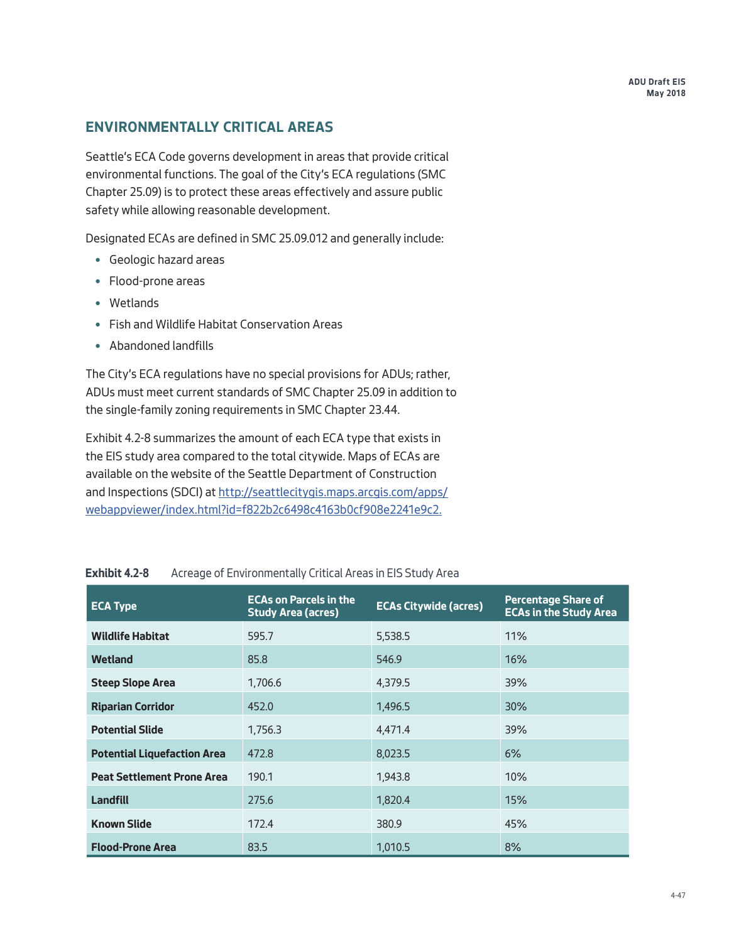#### **ENVIRONMENTALLY CRITICAL AREAS**

Seattle's ECA Code governs development in areas that provide critical environmental functions. The goal of the City's ECA regulations (SMC Chapter 25.09) is to protect these areas effectively and assure public safety while allowing reasonable development.

Designated ECAs are defined in SMC 25.09.012 and generally include:

- Geologic hazard areas
- Flood-prone areas
- Wetlands
- Fish and Wildlife Habitat Conservation Areas
- Abandoned landfills

The City's ECA regulations have no special provisions for ADUs; rather, ADUs must meet current standards of SMC Chapter 25.09 in addition to the single-family zoning requirements in SMC Chapter 23.44.

Exhibit 4.2-8 summarizes the amount of each ECA type that exists in the EIS study area compared to the total citywide. Maps of ECAs are available on the website of the Seattle Department of Construction and Inspections (SDCI) at [http://seattlecitygis.maps.arcgis.com/apps/](http://seattlecitygis.maps.arcgis.com/apps/webappviewer/index.html?id=f822b2c6498c4163b0cf908e2241e9c2) [webappviewer/index.html?id=f822b2c6498c4163b0cf908e2241e9c2.](http://seattlecitygis.maps.arcgis.com/apps/webappviewer/index.html?id=f822b2c6498c4163b0cf908e2241e9c2)

| <b>ECA Type</b>                    | <b>ECAs on Parcels in the</b><br><b>Study Area (acres)</b> | <b>ECAs Citywide (acres)</b> | <b>Percentage Share of</b><br><b>ECAs in the Study Area</b> |
|------------------------------------|------------------------------------------------------------|------------------------------|-------------------------------------------------------------|
| <b>Wildlife Habitat</b>            | 595.7                                                      | 5,538.5                      | 11%                                                         |
| Wetland                            | 85.8                                                       | 546.9                        | 16%                                                         |
| <b>Steep Slope Area</b>            | 1,706.6                                                    | 4,379.5                      | 39%                                                         |
| <b>Riparian Corridor</b>           | 452.0                                                      | 1,496.5                      | 30%                                                         |
| <b>Potential Slide</b>             | 1,756.3                                                    | 4,471.4                      | 39%                                                         |
| <b>Potential Liquefaction Area</b> | 472.8                                                      | 8,023.5                      | 6%                                                          |
| <b>Peat Settlement Prone Area</b>  | 190.1                                                      | 1,943.8                      | 10%                                                         |
| <b>Landfill</b>                    | 275.6                                                      | 1,820.4                      | 15%                                                         |
| <b>Known Slide</b>                 | 172.4                                                      | 380.9                        | 45%                                                         |
| <b>Flood-Prone Area</b>            | 83.5                                                       | 1,010.5                      | 8%                                                          |

#### **Exhibit 4.2-8** Acreage of Environmentally Critical Areas in EIS Study Area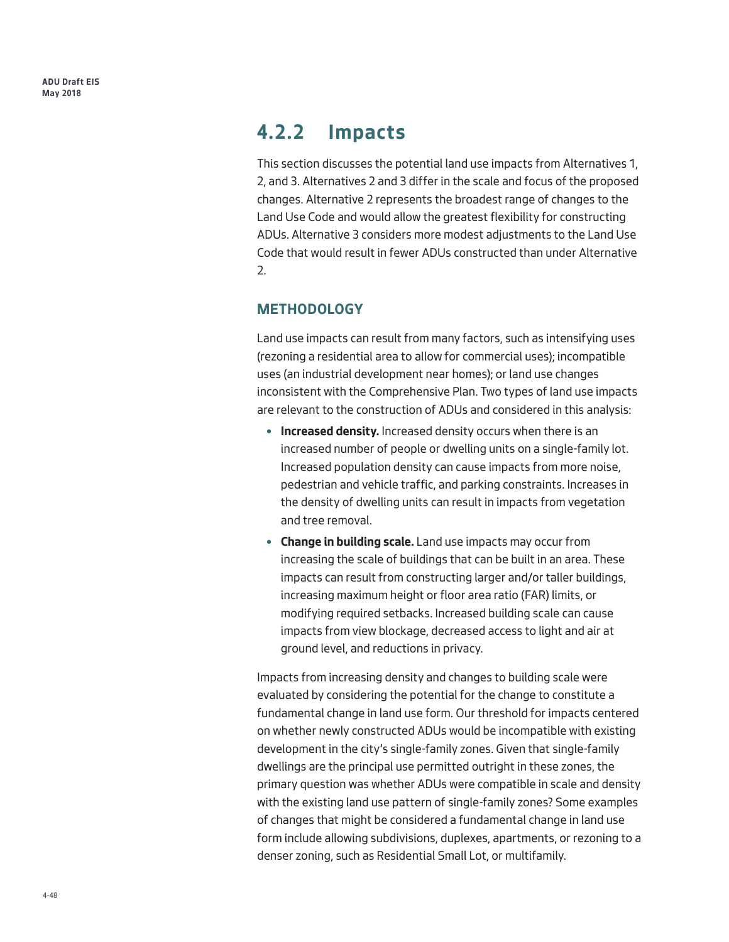## **4.2.2 Impacts**

This section discusses the potential land use impacts from Alternatives 1, 2, and 3. Alternatives 2 and 3 differ in the scale and focus of the proposed changes. Alternative 2 represents the broadest range of changes to the Land Use Code and would allow the greatest flexibility for constructing ADUs. Alternative 3 considers more modest adjustments to the Land Use Code that would result in fewer ADUs constructed than under Alternative 2.

#### **METHODOLOGY**

Land use impacts can result from many factors, such as intensifying uses (rezoning a residential area to allow for commercial uses); incompatible uses (an industrial development near homes); or land use changes inconsistent with the Comprehensive Plan. Two types of land use impacts are relevant to the construction of ADUs and considered in this analysis:

- **Increased density.** Increased density occurs when there is an increased number of people or dwelling units on a single-family lot. Increased population density can cause impacts from more noise, pedestrian and vehicle traffic, and parking constraints. Increases in the density of dwelling units can result in impacts from vegetation and tree removal.
- **Change in building scale.** Land use impacts may occur from increasing the scale of buildings that can be built in an area. These impacts can result from constructing larger and/or taller buildings, increasing maximum height or floor area ratio (FAR) limits, or modifying required setbacks. Increased building scale can cause impacts from view blockage, decreased access to light and air at ground level, and reductions in privacy.

Impacts from increasing density and changes to building scale were evaluated by considering the potential for the change to constitute a fundamental change in land use form. Our threshold for impacts centered on whether newly constructed ADUs would be incompatible with existing development in the city's single-family zones. Given that single-family dwellings are the principal use permitted outright in these zones, the primary question was whether ADUs were compatible in scale and density with the existing land use pattern of single-family zones? Some examples of changes that might be considered a fundamental change in land use form include allowing subdivisions, duplexes, apartments, or rezoning to a denser zoning, such as Residential Small Lot, or multifamily.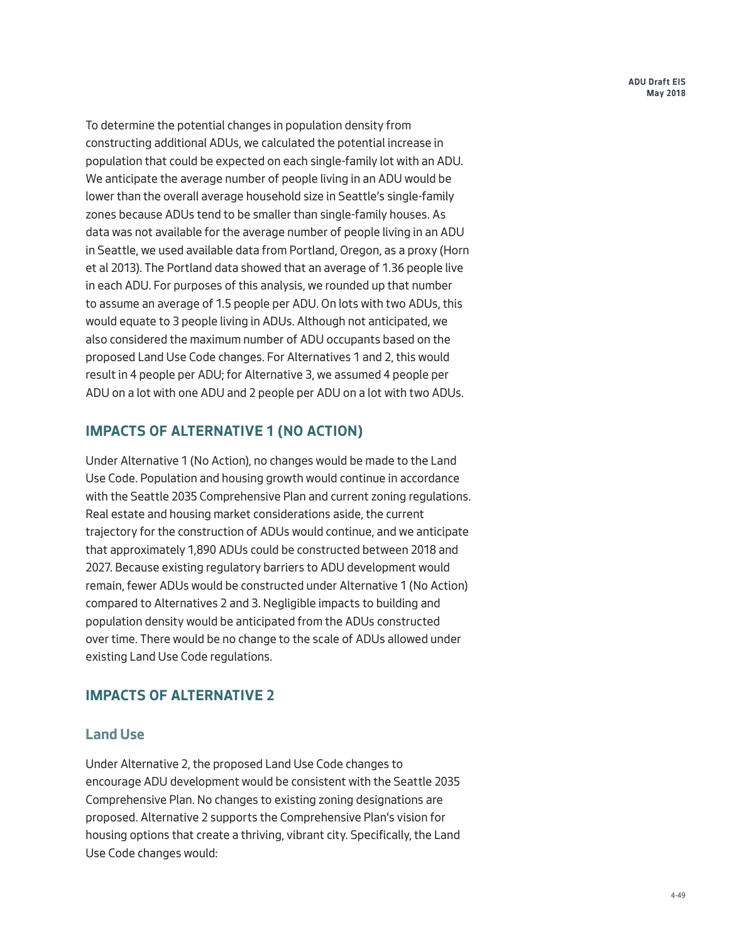To determine the potential changes in population density from constructing additional ADUs, we calculated the potential increase in population that could be expected on each single-family lot with an ADU. We anticipate the average number of people living in an ADU would be lower than the overall average household size in Seattle's single-family zones because ADUs tend to be smaller than single-family houses. As data was not available for the average number of people living in an ADU in Seattle, we used available data from Portland, Oregon, as a proxy (Horn et al 2013). The Portland data showed that an average of 1.36 people live in each ADU. For purposes of this analysis, we rounded up that number to assume an average of 1.5 people per ADU. On lots with two ADUs, this would equate to 3 people living in ADUs. Although not anticipated, we also considered the maximum number of ADU occupants based on the proposed Land Use Code changes. For Alternatives 1 and 2, this would result in 4 people per ADU; for Alternative 3, we assumed 4 people per ADU on a lot with one ADU and 2 people per ADU on a lot with two ADUs.

## **IMPACTS OF ALTERNATIVE 1 (NO ACTION)**

Under Alternative 1 (No Action), no changes would be made to the Land Use Code. Population and housing growth would continue in accordance with the Seattle 2035 Comprehensive Plan and current zoning regulations. Real estate and housing market considerations aside, the current trajectory for the construction of ADUs would continue, and we anticipate that approximately 1,890 ADUs could be constructed between 2018 and 2027. Because existing regulatory barriers to ADU development would remain, fewer ADUs would be constructed under Alternative 1 (No Action) compared to Alternatives 2 and 3. Negligible impacts to building and population density would be anticipated from the ADUs constructed over time. There would be no change to the scale of ADUs allowed under existing Land Use Code regulations.

## **IMPACTS OF ALTERNATIVE 2**

### **Land Use**

Under Alternative 2, the proposed Land Use Code changes to encourage ADU development would be consistent with the Seattle 2035 Comprehensive Plan. No changes to existing zoning designations are proposed. Alternative 2 supports the Comprehensive Plan's vision for housing options that create a thriving, vibrant city. Specifically, the Land Use Code changes would: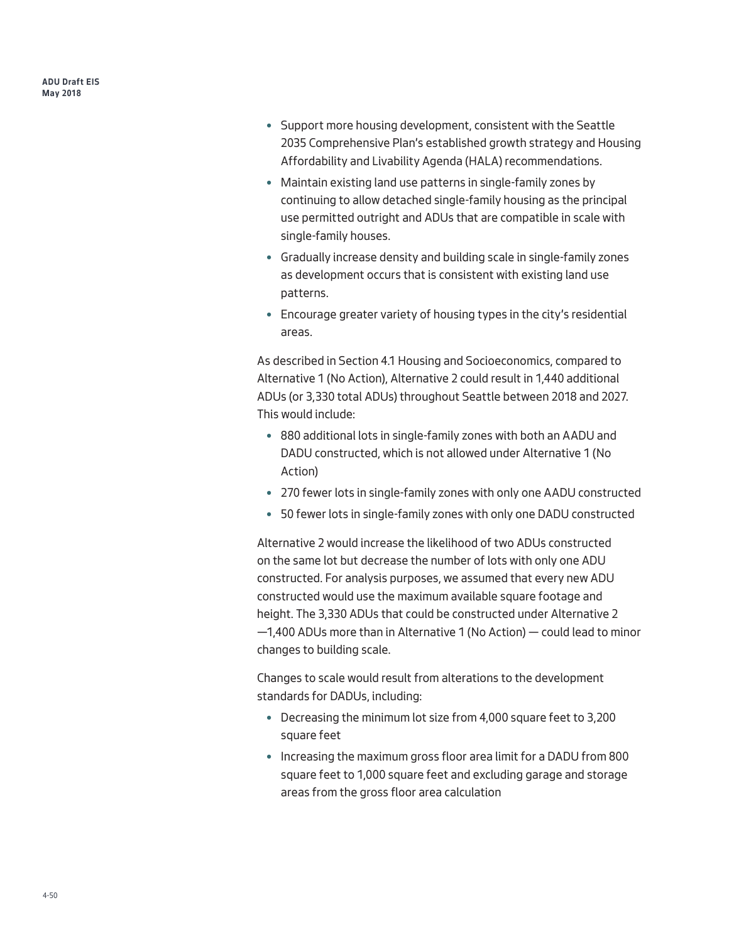- Support more housing development, consistent with the Seattle 2035 Comprehensive Plan's established growth strategy and Housing Affordability and Livability Agenda (HALA) recommendations.
- Maintain existing land use patterns in single-family zones by continuing to allow detached single-family housing as the principal use permitted outright and ADUs that are compatible in scale with single-family houses.
- Gradually increase density and building scale in single-family zones as development occurs that is consistent with existing land use patterns.
- Encourage greater variety of housing types in the city's residential areas.

As described in Section 4.1 Housing and Socioeconomics, compared to Alternative 1 (No Action), Alternative 2 could result in 1,440 additional ADUs (or 3,330 total ADUs) throughout Seattle between 2018 and 2027. This would include:

- 880 additional lots in single-family zones with both an AADU and DADU constructed, which is not allowed under Alternative 1 (No Action)
- 270 fewer lots in single-family zones with only one AADU constructed
- 50 fewer lots in single-family zones with only one DADU constructed

Alternative 2 would increase the likelihood of two ADUs constructed on the same lot but decrease the number of lots with only one ADU constructed. For analysis purposes, we assumed that every new ADU constructed would use the maximum available square footage and height. The 3,330 ADUs that could be constructed under Alternative 2 —1,400 ADUs more than in Alternative 1 (No Action) — could lead to minor changes to building scale.

Changes to scale would result from alterations to the development standards for DADUs, including:

- Decreasing the minimum lot size from 4,000 square feet to 3,200 square feet
- Increasing the maximum gross floor area limit for a DADU from 800 square feet to 1,000 square feet and excluding garage and storage areas from the gross floor area calculation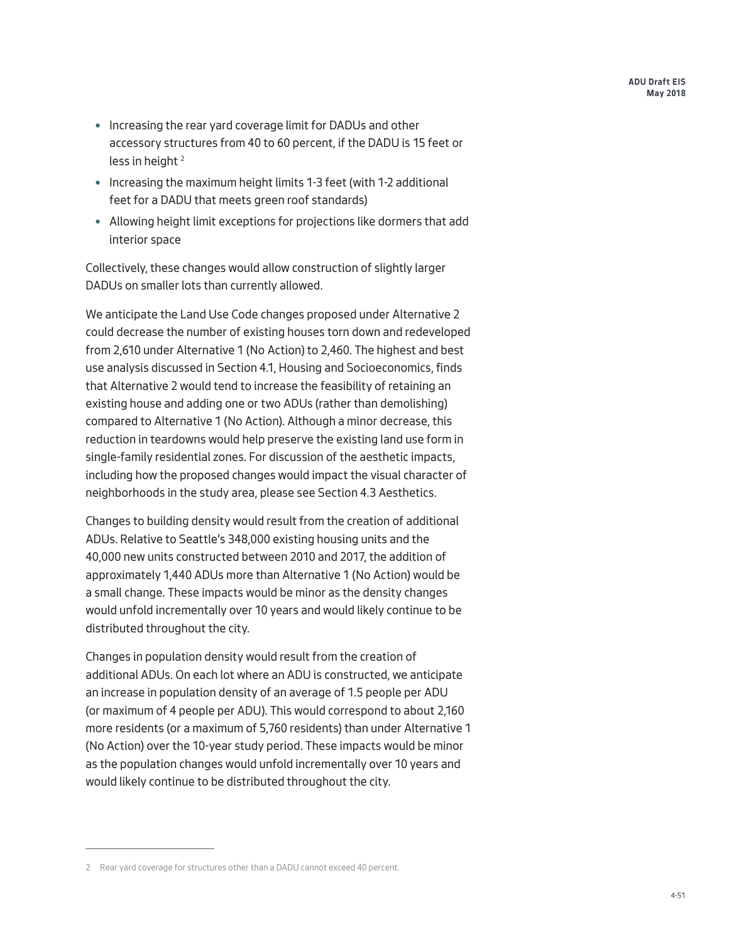- Increasing the rear yard coverage limit for DADUs and other accessory structures from 40 to 60 percent, if the DADU is 15 feet or less in height <sup>2</sup>
- Increasing the maximum height limits 1-3 feet (with 1-2 additional feet for a DADU that meets green roof standards)
- Allowing height limit exceptions for projections like dormers that add interior space

Collectively, these changes would allow construction of slightly larger DADUs on smaller lots than currently allowed.

We anticipate the Land Use Code changes proposed under Alternative 2 could decrease the number of existing houses torn down and redeveloped from 2,610 under Alternative 1 (No Action) to 2,460. The highest and best use analysis discussed in Section 4.1, Housing and Socioeconomics, finds that Alternative 2 would tend to increase the feasibility of retaining an existing house and adding one or two ADUs (rather than demolishing) compared to Alternative 1 (No Action). Although a minor decrease, this reduction in teardowns would help preserve the existing land use form in single-family residential zones. For discussion of the aesthetic impacts, including how the proposed changes would impact the visual character of neighborhoods in the study area, please see Section 4.3 Aesthetics.

Changes to building density would result from the creation of additional ADUs. Relative to Seattle's 348,000 existing housing units and the 40,000 new units constructed between 2010 and 2017, the addition of approximately 1,440 ADUs more than Alternative 1 (No Action) would be a small change. These impacts would be minor as the density changes would unfold incrementally over 10 years and would likely continue to be distributed throughout the city.

Changes in population density would result from the creation of additional ADUs. On each lot where an ADU is constructed, we anticipate an increase in population density of an average of 1.5 people per ADU (or maximum of 4 people per ADU). This would correspond to about 2,160 more residents (or a maximum of 5,760 residents) than under Alternative 1 (No Action) over the 10-year study period. These impacts would be minor as the population changes would unfold incrementally over 10 years and would likely continue to be distributed throughout the city.

<sup>2</sup> Rear yard coverage for structures other than a DADU cannot exceed 40 percent.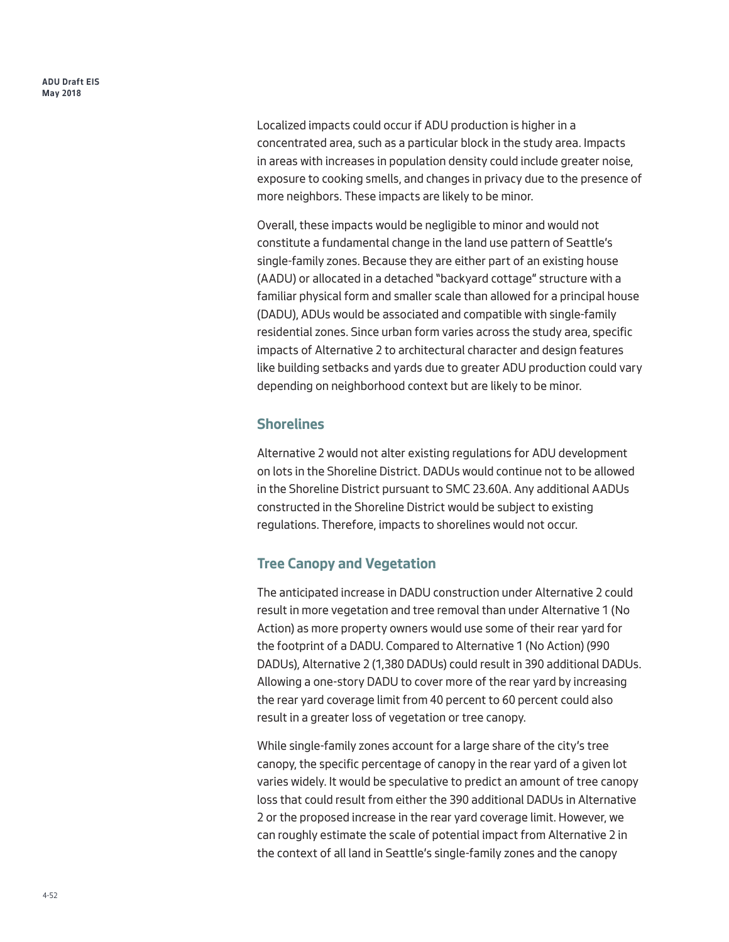> Localized impacts could occur if ADU production is higher in a concentrated area, such as a particular block in the study area. Impacts in areas with increases in population density could include greater noise, exposure to cooking smells, and changes in privacy due to the presence of more neighbors. These impacts are likely to be minor.

> Overall, these impacts would be negligible to minor and would not constitute a fundamental change in the land use pattern of Seattle's single-family zones. Because they are either part of an existing house (AADU) or allocated in a detached "backyard cottage" structure with a familiar physical form and smaller scale than allowed for a principal house (DADU), ADUs would be associated and compatible with single-family residential zones. Since urban form varies across the study area, specific impacts of Alternative 2 to architectural character and design features like building setbacks and yards due to greater ADU production could vary depending on neighborhood context but are likely to be minor.

#### **Shorelines**

Alternative 2 would not alter existing regulations for ADU development on lots in the Shoreline District. DADUs would continue not to be allowed in the Shoreline District pursuant to SMC 23.60A. Any additional AADUs constructed in the Shoreline District would be subject to existing regulations. Therefore, impacts to shorelines would not occur.

### **Tree Canopy and Vegetation**

The anticipated increase in DADU construction under Alternative 2 could result in more vegetation and tree removal than under Alternative 1 (No Action) as more property owners would use some of their rear yard for the footprint of a DADU. Compared to Alternative 1 (No Action) (990 DADUs), Alternative 2 (1,380 DADUs) could result in 390 additional DADUs. Allowing a one-story DADU to cover more of the rear yard by increasing the rear yard coverage limit from 40 percent to 60 percent could also result in a greater loss of vegetation or tree canopy.

While single-family zones account for a large share of the city's tree canopy, the specific percentage of canopy in the rear yard of a given lot varies widely. It would be speculative to predict an amount of tree canopy loss that could result from either the 390 additional DADUs in Alternative 2 or the proposed increase in the rear yard coverage limit. However, we can roughly estimate the scale of potential impact from Alternative 2 in the context of all land in Seattle's single-family zones and the canopy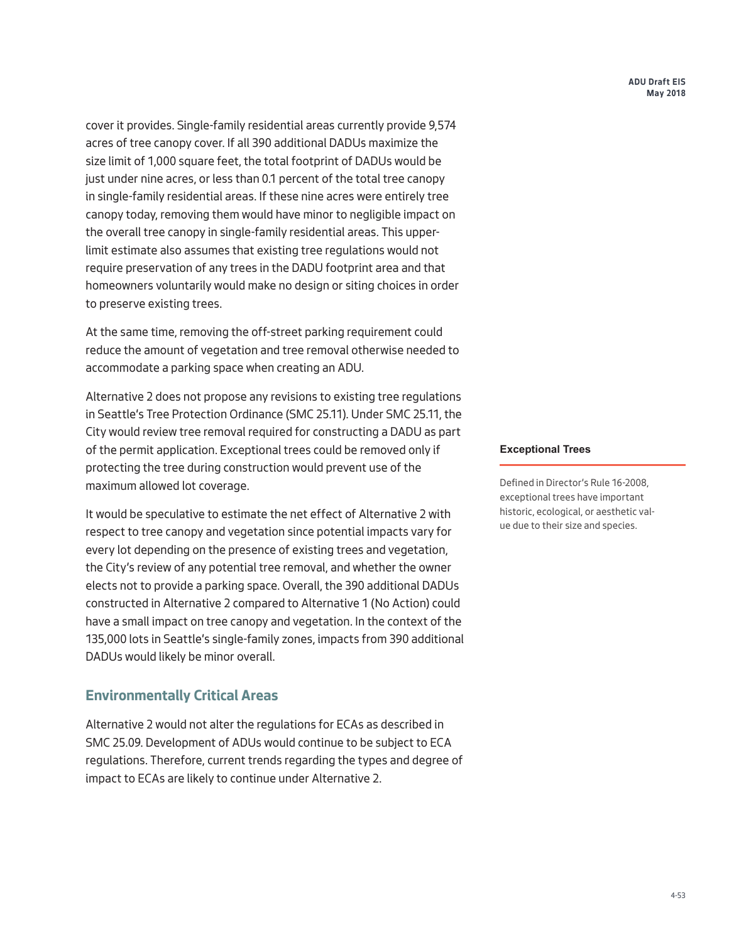cover it provides. Single-family residential areas currently provide 9,574 acres of tree canopy cover. If all 390 additional DADUs maximize the size limit of 1,000 square feet, the total footprint of DADUs would be just under nine acres, or less than 0.1 percent of the total tree canopy in single-family residential areas. If these nine acres were entirely tree canopy today, removing them would have minor to negligible impact on the overall tree canopy in single-family residential areas. This upperlimit estimate also assumes that existing tree regulations would not require preservation of any trees in the DADU footprint area and that homeowners voluntarily would make no design or siting choices in order to preserve existing trees.

At the same time, removing the off-street parking requirement could reduce the amount of vegetation and tree removal otherwise needed to accommodate a parking space when creating an ADU.

Alternative 2 does not propose any revisions to existing tree regulations in Seattle's Tree Protection Ordinance (SMC 25.11). Under SMC 25.11, the City would review tree removal required for constructing a DADU as part of the permit application. Exceptional trees could be removed only if protecting the tree during construction would prevent use of the maximum allowed lot coverage.

It would be speculative to estimate the net effect of Alternative 2 with respect to tree canopy and vegetation since potential impacts vary for every lot depending on the presence of existing trees and vegetation, the City's review of any potential tree removal, and whether the owner elects not to provide a parking space. Overall, the 390 additional DADUs constructed in Alternative 2 compared to Alternative 1 (No Action) could have a small impact on tree canopy and vegetation. In the context of the 135,000 lots in Seattle's single-family zones, impacts from 390 additional DADUs would likely be minor overall.

## **Environmentally Critical Areas**

Alternative 2 would not alter the regulations for ECAs as described in SMC 25.09. Development of ADUs would continue to be subject to ECA regulations. Therefore, current trends regarding the types and degree of impact to ECAs are likely to continue under Alternative 2.

#### **Exceptional Trees**

Defined in Director's Rule 16-2008, exceptional trees have important historic, ecological, or aesthetic value due to their size and species.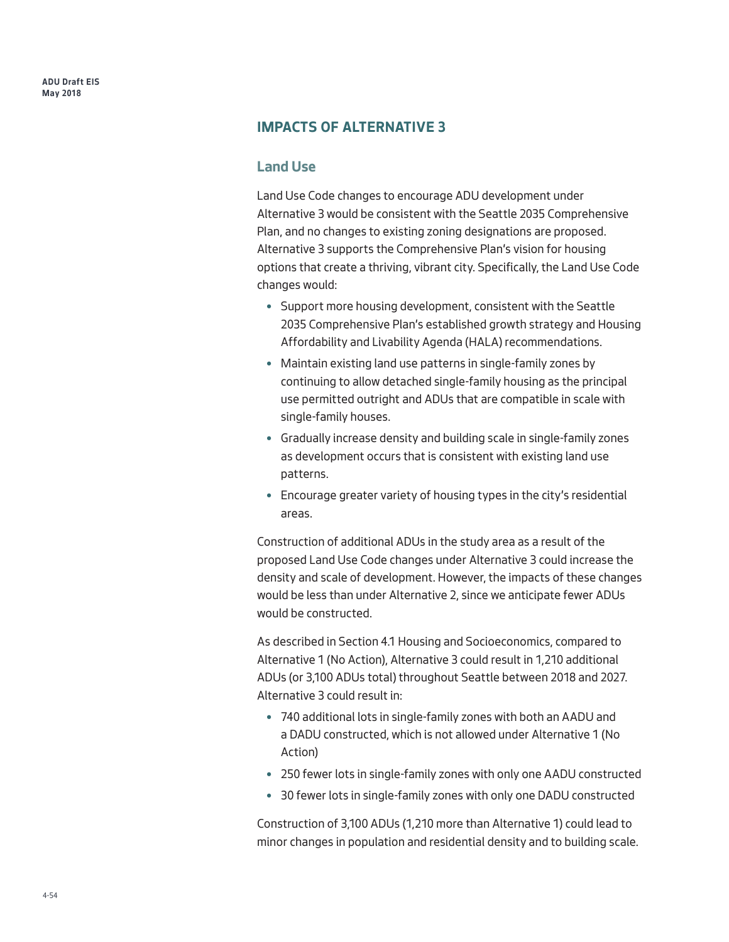#### **IMPACTS OF ALTERNATIVE 3**

#### **Land Use**

Land Use Code changes to encourage ADU development under Alternative 3 would be consistent with the Seattle 2035 Comprehensive Plan, and no changes to existing zoning designations are proposed. Alternative 3 supports the Comprehensive Plan's vision for housing options that create a thriving, vibrant city. Specifically, the Land Use Code changes would:

- Support more housing development, consistent with the Seattle 2035 Comprehensive Plan's established growth strategy and Housing Affordability and Livability Agenda (HALA) recommendations.
- Maintain existing land use patterns in single-family zones by continuing to allow detached single-family housing as the principal use permitted outright and ADUs that are compatible in scale with single-family houses.
- Gradually increase density and building scale in single-family zones as development occurs that is consistent with existing land use patterns.
- Encourage greater variety of housing types in the city's residential areas.

Construction of additional ADUs in the study area as a result of the proposed Land Use Code changes under Alternative 3 could increase the density and scale of development. However, the impacts of these changes would be less than under Alternative 2, since we anticipate fewer ADUs would be constructed.

As described in Section 4.1 Housing and Socioeconomics, compared to Alternative 1 (No Action), Alternative 3 could result in 1,210 additional ADUs (or 3,100 ADUs total) throughout Seattle between 2018 and 2027. Alternative 3 could result in:

- 740 additional lots in single-family zones with both an AADU and a DADU constructed, which is not allowed under Alternative 1 (No Action)
- 250 fewer lots in single-family zones with only one AADU constructed
- 30 fewer lots in single-family zones with only one DADU constructed

Construction of 3,100 ADUs (1,210 more than Alternative 1) could lead to minor changes in population and residential density and to building scale.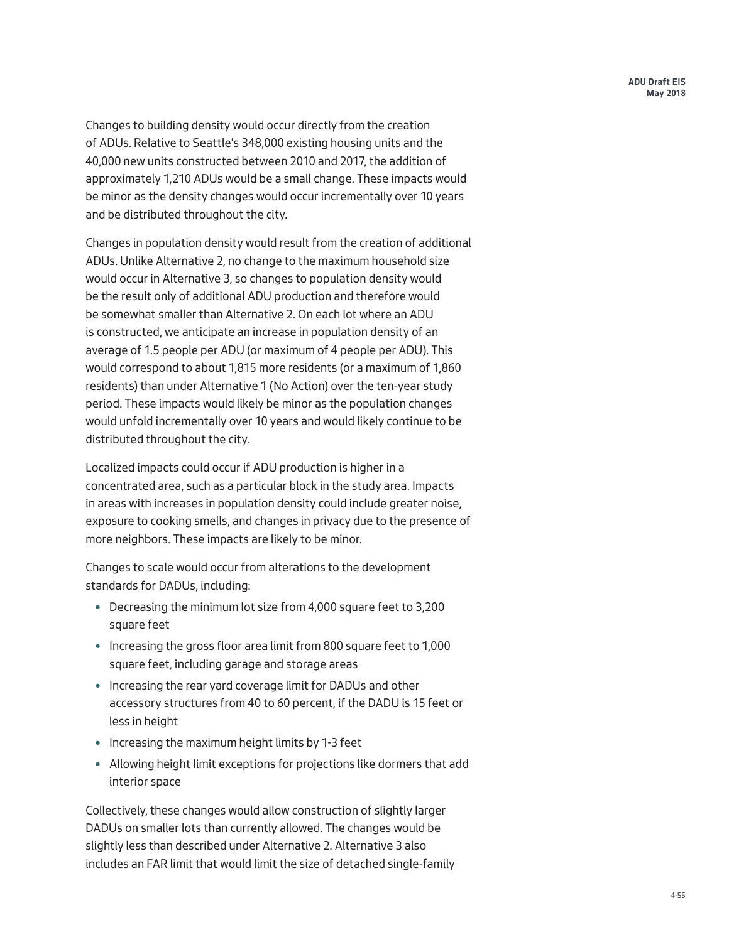Changes to building density would occur directly from the creation of ADUs. Relative to Seattle's 348,000 existing housing units and the 40,000 new units constructed between 2010 and 2017, the addition of approximately 1,210 ADUs would be a small change. These impacts would be minor as the density changes would occur incrementally over 10 years and be distributed throughout the city.

Changes in population density would result from the creation of additional ADUs. Unlike Alternative 2, no change to the maximum household size would occur in Alternative 3, so changes to population density would be the result only of additional ADU production and therefore would be somewhat smaller than Alternative 2. On each lot where an ADU is constructed, we anticipate an increase in population density of an average of 1.5 people per ADU (or maximum of 4 people per ADU). This would correspond to about 1,815 more residents (or a maximum of 1,860 residents) than under Alternative 1 (No Action) over the ten-year study period. These impacts would likely be minor as the population changes would unfold incrementally over 10 years and would likely continue to be distributed throughout the city.

Localized impacts could occur if ADU production is higher in a concentrated area, such as a particular block in the study area. Impacts in areas with increases in population density could include greater noise, exposure to cooking smells, and changes in privacy due to the presence of more neighbors. These impacts are likely to be minor.

Changes to scale would occur from alterations to the development standards for DADUs, including:

- Decreasing the minimum lot size from 4,000 square feet to 3,200 square feet
- Increasing the gross floor area limit from 800 square feet to 1,000 square feet, including garage and storage areas
- Increasing the rear yard coverage limit for DADUs and other accessory structures from 40 to 60 percent, if the DADU is 15 feet or less in height
- Increasing the maximum height limits by 1-3 feet
- Allowing height limit exceptions for projections like dormers that add interior space

Collectively, these changes would allow construction of slightly larger DADUs on smaller lots than currently allowed. The changes would be slightly less than described under Alternative 2. Alternative 3 also includes an FAR limit that would limit the size of detached single-family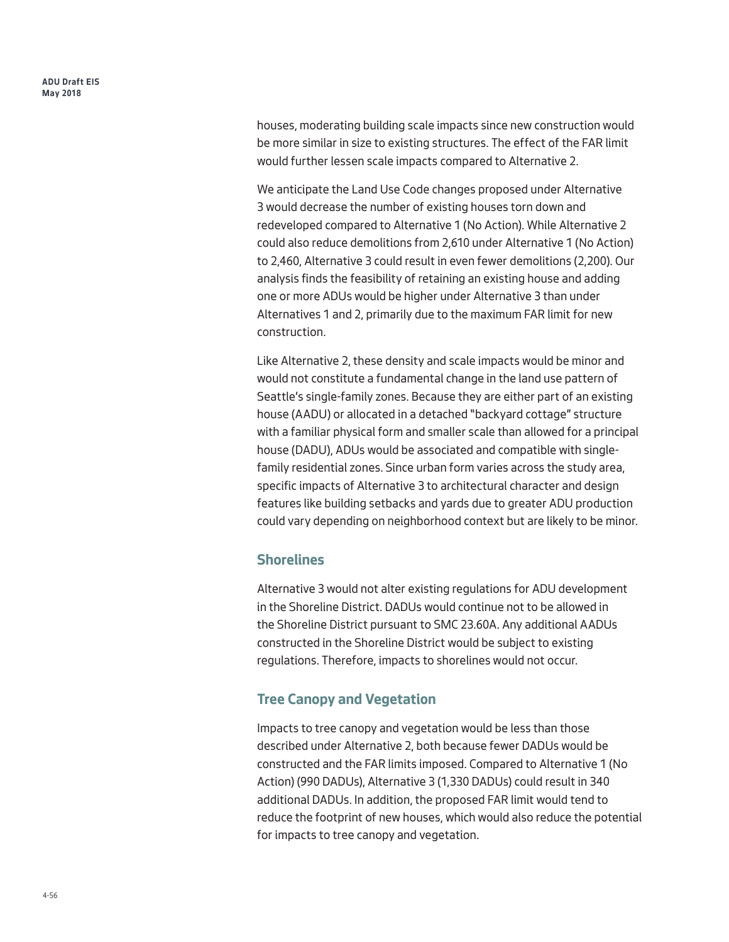> houses, moderating building scale impacts since new construction would be more similar in size to existing structures. The effect of the FAR limit would further lessen scale impacts compared to Alternative 2.

> We anticipate the Land Use Code changes proposed under Alternative 3 would decrease the number of existing houses torn down and redeveloped compared to Alternative 1 (No Action). While Alternative 2 could also reduce demolitions from 2,610 under Alternative 1 (No Action) to 2,460, Alternative 3 could result in even fewer demolitions (2,200). Our analysis finds the feasibility of retaining an existing house and adding one or more ADUs would be higher under Alternative 3 than under Alternatives 1 and 2, primarily due to the maximum FAR limit for new construction.

Like Alternative 2, these density and scale impacts would be minor and would not constitute a fundamental change in the land use pattern of Seattle's single-family zones. Because they are either part of an existing house (AADU) or allocated in a detached "backyard cottage" structure with a familiar physical form and smaller scale than allowed for a principal house (DADU), ADUs would be associated and compatible with singlefamily residential zones. Since urban form varies across the study area, specific impacts of Alternative 3 to architectural character and design features like building setbacks and yards due to greater ADU production could vary depending on neighborhood context but are likely to be minor.

#### **Shorelines**

Alternative 3 would not alter existing regulations for ADU development in the Shoreline District. DADUs would continue not to be allowed in the Shoreline District pursuant to SMC 23.60A. Any additional AADUs constructed in the Shoreline District would be subject to existing regulations. Therefore, impacts to shorelines would not occur.

### **Tree Canopy and Vegetation**

Impacts to tree canopy and vegetation would be less than those described under Alternative 2, both because fewer DADUs would be constructed and the FAR limits imposed. Compared to Alternative 1 (No Action) (990 DADUs), Alternative 3 (1,330 DADUs) could result in 340 additional DADUs. In addition, the proposed FAR limit would tend to reduce the footprint of new houses, which would also reduce the potential for impacts to tree canopy and vegetation.